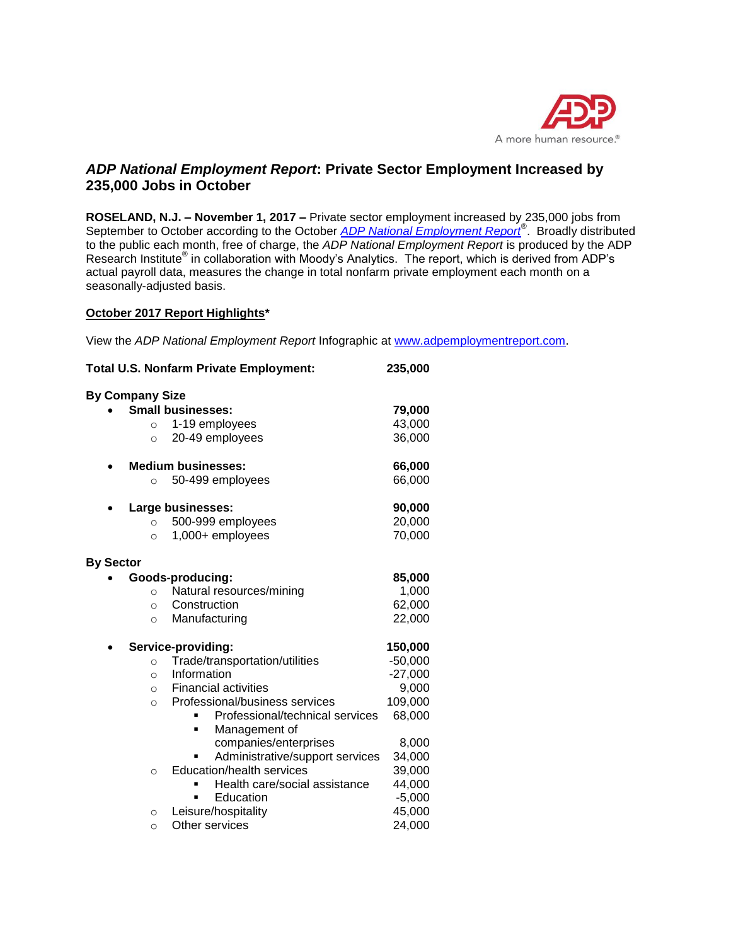

# *ADP National Employment Report***: Private Sector Employment Increased by 235,000 Jobs in October**

**ROSELAND, N.J. – November 1, 2017 –** Private sector employment increased by 235,000 jobs from September to October according to the October *[ADP National Employment Report](http://www.adpemploymentreport.com/)*® . Broadly distributed to the public each month, free of charge, the *ADP National Employment Report* is produced by the ADP Research Institute<sup>®</sup> in collaboration with Moody's Analytics. The report, which is derived from ADP's actual payroll data, measures the change in total nonfarm private employment each month on a seasonally-adjusted basis.

## **October 2017 Report Highlights\***

View the *ADP National Employment Report* Infographic at [www.adpemploymentreport.com.](http://www.adpemploymentreport.com/)

| Total U.S. Nonfarm Private Employment:    | 235,000   |
|-------------------------------------------|-----------|
| <b>By Company Size</b>                    |           |
| <b>Small businesses:</b>                  | 79,000    |
| 1-19 employees<br>$\circ$                 | 43,000    |
| 20-49 employees<br>$\circ$                | 36,000    |
| <b>Medium businesses:</b>                 | 66,000    |
| 50-499 employees<br>$\circ$               | 66,000    |
| Large businesses:                         | 90,000    |
| 500-999 employees<br>$\circ$              | 20,000    |
| 1,000+ employees<br>$\circ$               | 70,000    |
| <b>By Sector</b>                          |           |
| Goods-producing:                          | 85,000    |
| Natural resources/mining<br>$\circ$       | 1,000     |
| Construction<br>$\circ$                   | 62,000    |
| Manufacturing<br>$\circ$                  | 22,000    |
| Service-providing:                        | 150,000   |
| Trade/transportation/utilities<br>$\circ$ | $-50,000$ |
| Information<br>$\circ$                    | $-27,000$ |
| <b>Financial activities</b><br>$\circ$    | 9,000     |
| Professional/business services<br>$\circ$ | 109,000   |
| Professional/technical services           | 68,000    |
| Management of<br>٠                        |           |
| companies/enterprises                     | 8,000     |
| Administrative/support services           | 34,000    |
| Education/health services<br>$\circ$      | 39,000    |
| Health care/social assistance             | 44,000    |
| Education                                 | $-5,000$  |
| Leisure/hospitality<br>$\circ$            | 45,000    |
| Other services<br>$\circ$                 | 24,000    |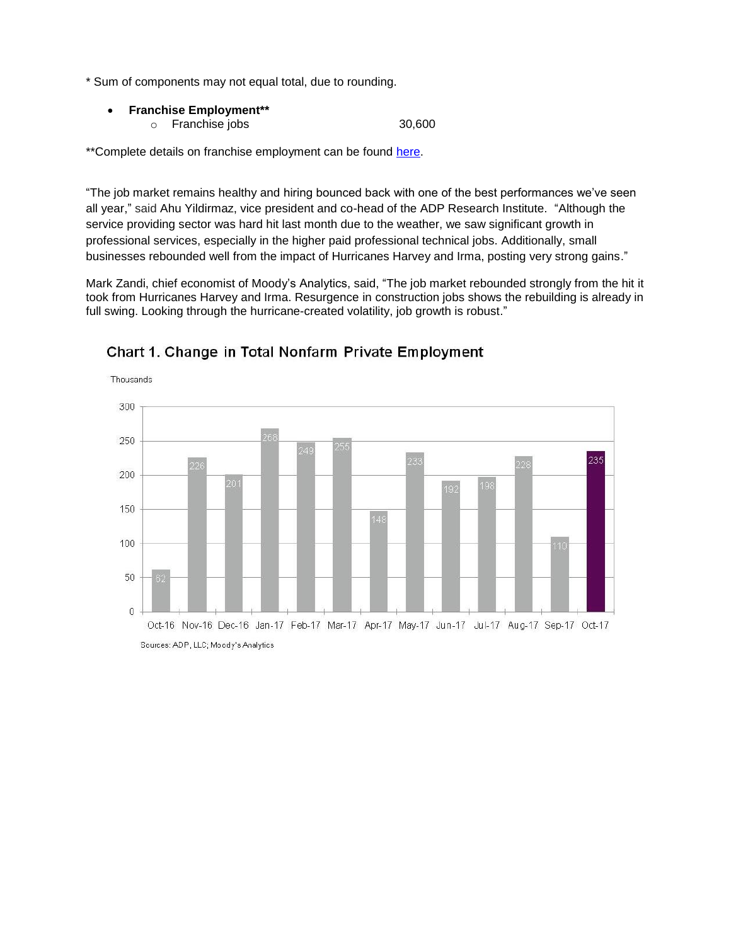\* Sum of components may not equal total, due to rounding.

 **Franchise Employment\*\*** o Franchise jobs 30,600

\*\*Complete details on franchise employment can be found [here.](http://www.adpemploymentreport.com/)

"The job market remains healthy and hiring bounced back with one of the best performances we've seen all year," said Ahu Yildirmaz, vice president and co-head of the ADP Research Institute. "Although the service providing sector was hard hit last month due to the weather, we saw significant growth in professional services, especially in the higher paid professional technical jobs. Additionally, small businesses rebounded well from the impact of Hurricanes Harvey and Irma, posting very strong gains."

Mark Zandi, chief economist of Moody's Analytics, said, "The job market rebounded strongly from the hit it took from Hurricanes Harvey and Irma. Resurgence in construction jobs shows the rebuilding is already in full swing. Looking through the hurricane-created volatility, job growth is robust."



# Chart 1. Change in Total Nonfarm Private Employment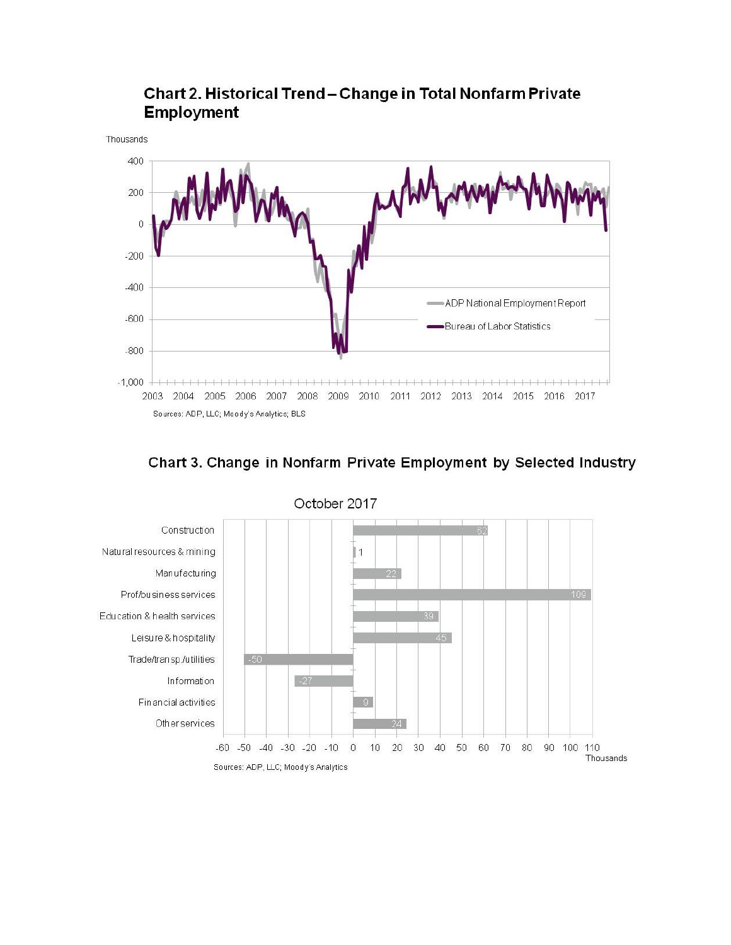

# Chart 2. Historical Trend - Change in Total Nonfarm Private **Employment**





October 2017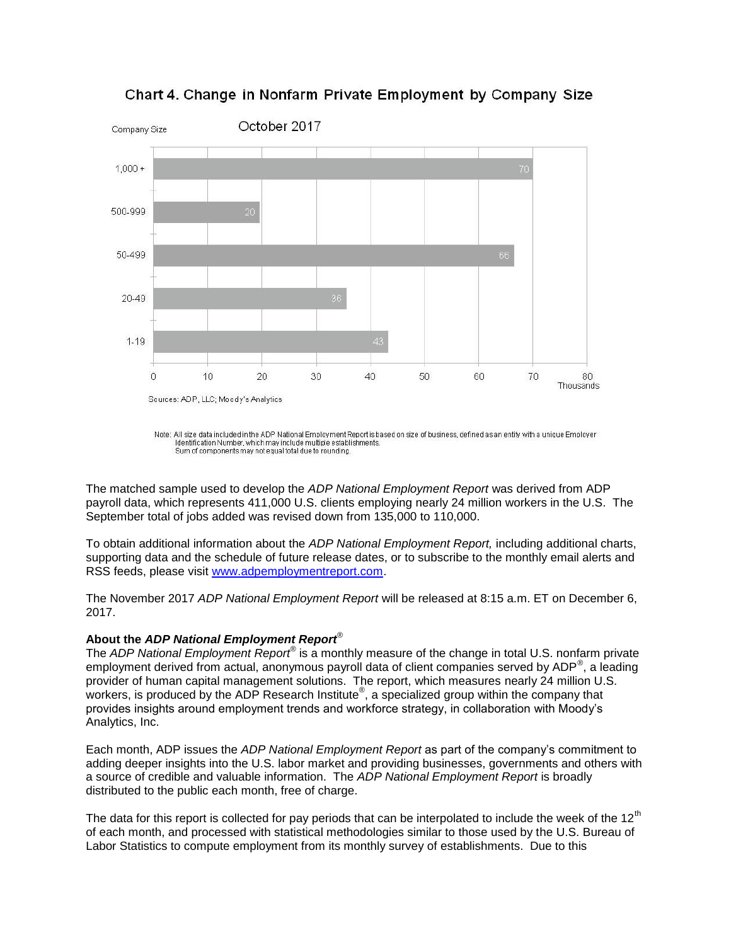

Chart 4. Change in Nonfarm Private Employment by Company Size

The matched sample used to develop the *ADP National Employment Report* was derived from ADP payroll data, which represents 411,000 U.S. clients employing nearly 24 million workers in the U.S. The September total of jobs added was revised down from 135,000 to 110,000.

To obtain additional information about the *ADP National Employment Report,* including additional charts, supporting data and the schedule of future release dates, or to subscribe to the monthly email alerts and RSS feeds, please visit [www.adpemploymentreport.com.](http://www.adpemploymentreport.com/)

The November 2017 *ADP National Employment Report* will be released at 8:15 a.m. ET on December 6, 2017.

#### **About the** *ADP National Employment Report*®

The *ADP National Employment Report®* is a monthly measure of the change in total U.S. nonfarm private employment derived from actual, anonymous payroll data of client companies served by ADP<sup>®</sup>, a leading provider of human capital management solutions. The report, which measures nearly 24 million U.S. workers, is produced by the ADP Research Institute®, a specialized group within the company that provides insights around employment trends and workforce strategy, in collaboration with Moody's Analytics, Inc.

Each month, ADP issues the *ADP National Employment Report* as part of the company's commitment to adding deeper insights into the U.S. labor market and providing businesses, governments and others with a source of credible and valuable information. The *ADP National Employment Report* is broadly distributed to the public each month, free of charge.

The data for this report is collected for pay periods that can be interpolated to include the week of the 12<sup>th</sup> of each month, and processed with statistical methodologies similar to those used by the U.S. Bureau of Labor Statistics to compute employment from its monthly survey of establishments. Due to this

Note: All size data included in the ADP National Employment Report is based on size of business, defined as an entity with a unique Employer Identification Number, which may include multiple establishments. Sum of components may not equal total due to rounding.